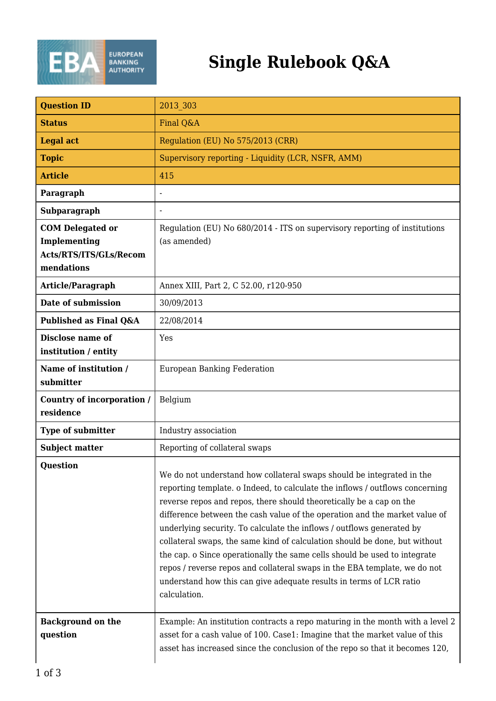

## **Single Rulebook Q&A**

| <b>Question ID</b>                                                              | 2013 303                                                                                                                                                                                                                                                                                                                                                                                                                                                                                                                                                                                                                                                                                                           |
|---------------------------------------------------------------------------------|--------------------------------------------------------------------------------------------------------------------------------------------------------------------------------------------------------------------------------------------------------------------------------------------------------------------------------------------------------------------------------------------------------------------------------------------------------------------------------------------------------------------------------------------------------------------------------------------------------------------------------------------------------------------------------------------------------------------|
| <b>Status</b>                                                                   | Final Q&A                                                                                                                                                                                                                                                                                                                                                                                                                                                                                                                                                                                                                                                                                                          |
| <b>Legal act</b>                                                                | Regulation (EU) No 575/2013 (CRR)                                                                                                                                                                                                                                                                                                                                                                                                                                                                                                                                                                                                                                                                                  |
| <b>Topic</b>                                                                    | Supervisory reporting - Liquidity (LCR, NSFR, AMM)                                                                                                                                                                                                                                                                                                                                                                                                                                                                                                                                                                                                                                                                 |
| <b>Article</b>                                                                  | 415                                                                                                                                                                                                                                                                                                                                                                                                                                                                                                                                                                                                                                                                                                                |
| Paragraph                                                                       |                                                                                                                                                                                                                                                                                                                                                                                                                                                                                                                                                                                                                                                                                                                    |
| Subparagraph                                                                    |                                                                                                                                                                                                                                                                                                                                                                                                                                                                                                                                                                                                                                                                                                                    |
| <b>COM Delegated or</b><br>Implementing<br>Acts/RTS/ITS/GLs/Recom<br>mendations | Regulation (EU) No 680/2014 - ITS on supervisory reporting of institutions<br>(as amended)                                                                                                                                                                                                                                                                                                                                                                                                                                                                                                                                                                                                                         |
| Article/Paragraph                                                               | Annex XIII, Part 2, C 52.00, r120-950                                                                                                                                                                                                                                                                                                                                                                                                                                                                                                                                                                                                                                                                              |
| Date of submission                                                              | 30/09/2013                                                                                                                                                                                                                                                                                                                                                                                                                                                                                                                                                                                                                                                                                                         |
| Published as Final Q&A                                                          | 22/08/2014                                                                                                                                                                                                                                                                                                                                                                                                                                                                                                                                                                                                                                                                                                         |
| Disclose name of<br>institution / entity                                        | Yes                                                                                                                                                                                                                                                                                                                                                                                                                                                                                                                                                                                                                                                                                                                |
| Name of institution /<br>submitter                                              | <b>European Banking Federation</b>                                                                                                                                                                                                                                                                                                                                                                                                                                                                                                                                                                                                                                                                                 |
| Country of incorporation /<br>residence                                         | Belgium                                                                                                                                                                                                                                                                                                                                                                                                                                                                                                                                                                                                                                                                                                            |
| <b>Type of submitter</b>                                                        | Industry association                                                                                                                                                                                                                                                                                                                                                                                                                                                                                                                                                                                                                                                                                               |
| <b>Subject matter</b>                                                           | Reporting of collateral swaps                                                                                                                                                                                                                                                                                                                                                                                                                                                                                                                                                                                                                                                                                      |
| <b>Question</b>                                                                 | We do not understand how collateral swaps should be integrated in the<br>reporting template. o Indeed, to calculate the inflows / outflows concerning<br>reverse repos and repos, there should theoretically be a cap on the<br>difference between the cash value of the operation and the market value of<br>underlying security. To calculate the inflows / outflows generated by<br>collateral swaps, the same kind of calculation should be done, but without<br>the cap. o Since operationally the same cells should be used to integrate<br>repos / reverse repos and collateral swaps in the EBA template, we do not<br>understand how this can give adequate results in terms of LCR ratio<br>calculation. |
| <b>Background on the</b><br>question                                            | Example: An institution contracts a repo maturing in the month with a level 2<br>asset for a cash value of 100. Case1: Imagine that the market value of this<br>asset has increased since the conclusion of the repo so that it becomes 120,                                                                                                                                                                                                                                                                                                                                                                                                                                                                       |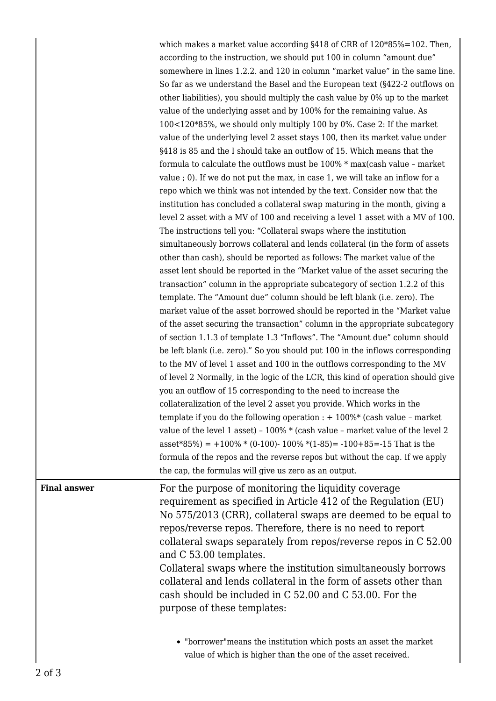|                     | which makes a market value according §418 of CRR of 120*85%=102. Then,<br>according to the instruction, we should put 100 in column "amount due"<br>somewhere in lines 1.2.2. and 120 in column "market value" in the same line.<br>So far as we understand the Basel and the European text (§422-2 outflows on<br>other liabilities), you should multiply the cash value by 0% up to the market<br>value of the underlying asset and by 100% for the remaining value. As<br>100<120*85%, we should only multiply 100 by 0%. Case 2: If the market<br>value of the underlying level 2 asset stays 100, then its market value under<br>§418 is 85 and the I should take an outflow of 15. Which means that the<br>formula to calculate the outflows must be 100% * max(cash value - market<br>value ; 0). If we do not put the max, in case 1, we will take an inflow for a<br>repo which we think was not intended by the text. Consider now that the<br>institution has concluded a collateral swap maturing in the month, giving a<br>level 2 asset with a MV of 100 and receiving a level 1 asset with a MV of 100.<br>The instructions tell you: "Collateral swaps where the institution<br>simultaneously borrows collateral and lends collateral (in the form of assets<br>other than cash), should be reported as follows: The market value of the<br>asset lent should be reported in the "Market value of the asset securing the<br>transaction" column in the appropriate subcategory of section 1.2.2 of this<br>template. The "Amount due" column should be left blank (i.e. zero). The<br>market value of the asset borrowed should be reported in the "Market value<br>of the asset securing the transaction" column in the appropriate subcategory<br>of section 1.1.3 of template 1.3 "Inflows". The "Amount due" column should<br>be left blank (i.e. zero)." So you should put 100 in the inflows corresponding<br>to the MV of level 1 asset and 100 in the outflows corresponding to the MV<br>of level 2 Normally, in the logic of the LCR, this kind of operation should give<br>you an outflow of 15 corresponding to the need to increase the<br>collateralization of the level 2 asset you provide. Which works in the<br>template if you do the following operation : $+ 100\%$ * (cash value - market<br>value of the level 1 asset) - 100% * (cash value - market value of the level 2<br>asset*85%) = +100% * (0-100)- 100% * (1-85) = -100+85 = -15 That is the<br>formula of the repos and the reverse repos but without the cap. If we apply |
|---------------------|------------------------------------------------------------------------------------------------------------------------------------------------------------------------------------------------------------------------------------------------------------------------------------------------------------------------------------------------------------------------------------------------------------------------------------------------------------------------------------------------------------------------------------------------------------------------------------------------------------------------------------------------------------------------------------------------------------------------------------------------------------------------------------------------------------------------------------------------------------------------------------------------------------------------------------------------------------------------------------------------------------------------------------------------------------------------------------------------------------------------------------------------------------------------------------------------------------------------------------------------------------------------------------------------------------------------------------------------------------------------------------------------------------------------------------------------------------------------------------------------------------------------------------------------------------------------------------------------------------------------------------------------------------------------------------------------------------------------------------------------------------------------------------------------------------------------------------------------------------------------------------------------------------------------------------------------------------------------------------------------------------------------------------------------------------------------------------------------------------------------------------------------------------------------------------------------------------------------------------------------------------------------------------------------------------------------------------------------------------------------------------------------------------------------------------------------------------------------------------------------------------------------------------------------------------------------------|
| <b>Final answer</b> | the cap, the formulas will give us zero as an output.                                                                                                                                                                                                                                                                                                                                                                                                                                                                                                                                                                                                                                                                                                                                                                                                                                                                                                                                                                                                                                                                                                                                                                                                                                                                                                                                                                                                                                                                                                                                                                                                                                                                                                                                                                                                                                                                                                                                                                                                                                                                                                                                                                                                                                                                                                                                                                                                                                                                                                                        |
|                     | For the purpose of monitoring the liquidity coverage<br>requirement as specified in Article 412 of the Regulation (EU)<br>No 575/2013 (CRR), collateral swaps are deemed to be equal to<br>repos/reverse repos. Therefore, there is no need to report<br>collateral swaps separately from repos/reverse repos in C 52.00<br>and C 53.00 templates.<br>Collateral swaps where the institution simultaneously borrows<br>collateral and lends collateral in the form of assets other than<br>cash should be included in C 52.00 and C 53.00. For the<br>purpose of these templates:                                                                                                                                                                                                                                                                                                                                                                                                                                                                                                                                                                                                                                                                                                                                                                                                                                                                                                                                                                                                                                                                                                                                                                                                                                                                                                                                                                                                                                                                                                                                                                                                                                                                                                                                                                                                                                                                                                                                                                                            |
|                     | • "borrower" means the institution which posts an asset the market<br>value of which is higher than the one of the asset received.                                                                                                                                                                                                                                                                                                                                                                                                                                                                                                                                                                                                                                                                                                                                                                                                                                                                                                                                                                                                                                                                                                                                                                                                                                                                                                                                                                                                                                                                                                                                                                                                                                                                                                                                                                                                                                                                                                                                                                                                                                                                                                                                                                                                                                                                                                                                                                                                                                           |